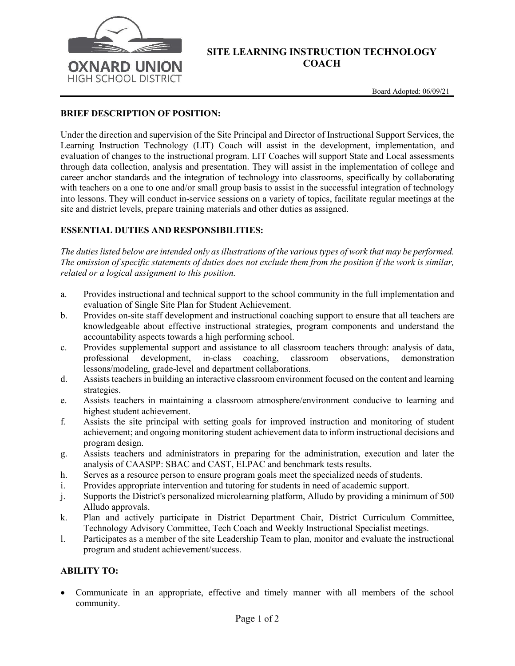

## **SITE LEARNING INSTRUCTION TECHNOLOGY COACH**

### **BRIEF DESCRIPTION OF POSITION:**

Under the direction and supervision of the Site Principal and Director of Instructional Support Services, the Learning Instruction Technology (LIT) Coach will assist in the development, implementation, and evaluation of changes to the instructional program. LIT Coaches will support State and Local assessments through data collection, analysis and presentation. They will assist in the implementation of college and career anchor standards and the integration of technology into classrooms, specifically by collaborating with teachers on a one to one and/or small group basis to assist in the successful integration of technology into lessons. They will conduct in-service sessions on a variety of topics, facilitate regular meetings at the site and district levels, prepare training materials and other duties as assigned.

#### **ESSENTIAL DUTIES AND RESPONSIBILITIES:**

*The duties listed below are intended only as illustrations of the various types of work that may be performed. The omission of specific statements of duties does not exclude them from the position if the work is similar, related or a logical assignment to this position.* 

- a. Provides instructional and technical support to the school community in the full implementation and evaluation of Single Site Plan for Student Achievement.
- b. Provides on-site staff development and instructional coaching support to ensure that all teachers are knowledgeable about effective instructional strategies, program components and understand the accountability aspects towards a high performing school.
- c. Provides supplemental support and assistance to all classroom teachers through: analysis of data, professional development, in-class coaching, classroom observations, demonstration lessons/modeling, grade-level and department collaborations.
- d. Assists teachers in building an interactive classroom environment focused on the content and learning strategies.
- e. Assists teachers in maintaining a classroom atmosphere/environment conducive to learning and highest student achievement.
- f. Assists the site principal with setting goals for improved instruction and monitoring of student achievement; and ongoing monitoring student achievement data to inform instructional decisions and program design.
- g. Assists teachers and administrators in preparing for the administration, execution and later the analysis of CAASPP: SBAC and CAST, ELPAC and benchmark tests results.
- h. Serves as a resource person to ensure program goals meet the specialized needs of students.
- i. Provides appropriate intervention and tutoring for students in need of academic support.
- j. Supports the District's personalized microlearning platform, Alludo by providing a minimum of 500 Alludo approvals.
- k. Plan and actively participate in District Department Chair, District Curriculum Committee, Technology Advisory Committee, Tech Coach and Weekly Instructional Specialist meetings.
- l. Participates as a member of the site Leadership Team to plan, monitor and evaluate the instructional program and student achievement/success.

#### **ABILITY TO:**

• Communicate in an appropriate, effective and timely manner with all members of the school community.